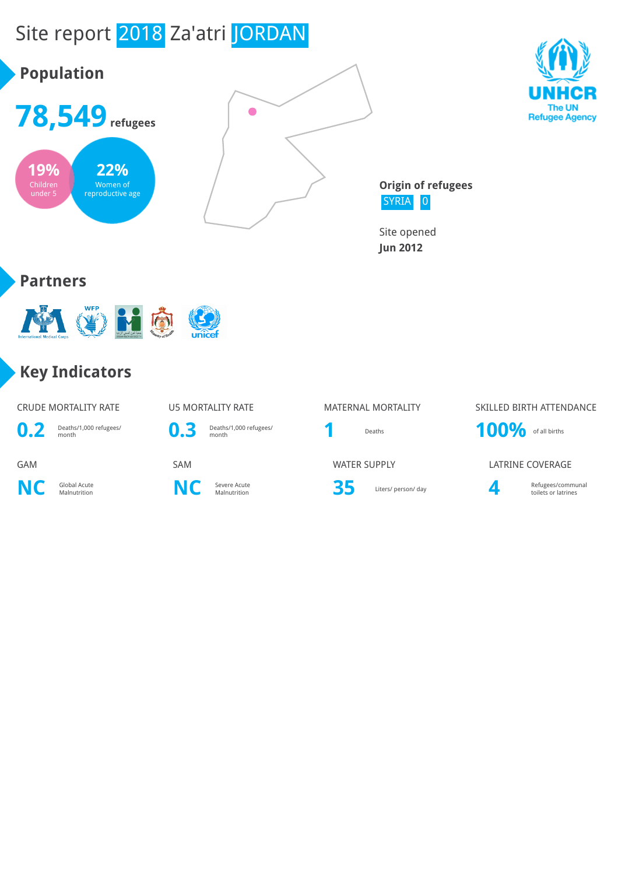# Site report 2018 Za'atri JORDAN





**Origin of refugees** SYRIA 0

Site opened **Jun 2012**

### **Partners**



### **Key Indicators**



**0.2** Deaths/1,000 refugees/

**NC** Global Acute



0.3 Deaths/1,000 refugees/





Severe Acute **35** Liters/ person/ day **4** 

#### CRUDE MORTALITY RATE **US MORTALITY RATE** MATERNAL MORTALITY **SKILLED BIRTH ATTENDANCE**

**100%** of all births

#### GAM SAM SAM SAM WATER SUPPLY LATRINE COVERAGE

Refugees/communal toilets or latrines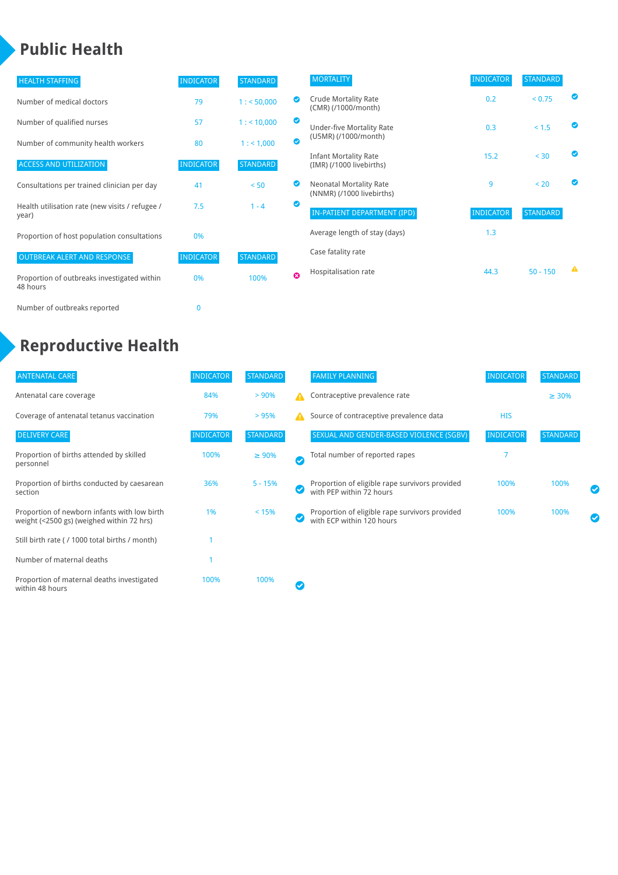### **Public Health**

| <b>HEALTH STAFFING</b>                                   | <b>INDICATOR</b> | <b>STANDARD</b> |                       | <b>MORTALITY</b>                                            | <b>INDICATOR</b> | <b>STANDARD</b> |           |
|----------------------------------------------------------|------------------|-----------------|-----------------------|-------------------------------------------------------------|------------------|-----------------|-----------|
| Number of medical doctors                                | 79               | 1: 50,000       |                       | <b>Crude Mortality Rate</b><br>(CMR) (/1000/month)          | 0.2              | < 0.75          | $\bullet$ |
| Number of qualified nurses                               | 57               | $1:$ < 10,000   | ◙                     | Under-five Mortality Rate                                   | 0.3              | < 1.5           |           |
| Number of community health workers                       | 80               | 1: 1,000        | ◙                     | (U5MR) (/1000/month)                                        |                  |                 |           |
| <b>ACCESS AND UTILIZATION</b>                            | <b>INDICATOR</b> | <b>STANDARD</b> |                       | <b>Infant Mortality Rate</b><br>(IMR) (/1000 livebirths)    | 15.2             | < 30            | Ø         |
| Consultations per trained clinician per day              | 41               | < 50            |                       | <b>Neonatal Mortality Rate</b><br>(NNMR) (/1000 livebirths) | 9                | < 20            | ☑         |
| Health utilisation rate (new visits / refugee /<br>year) | 7.5              | $1 - 4$         | ◙                     | IN-PATIENT DEPARTMENT (IPD)                                 | <b>INDICATOR</b> | <b>STANDARD</b> |           |
| Proportion of host population consultations              | 0%               |                 |                       | Average length of stay (days)                               | 1.3              |                 |           |
| <b>OUTBREAK ALERT AND RESPONSE</b>                       | <b>INDICATOR</b> | <b>STANDARD</b> |                       | Case fatality rate                                          |                  |                 |           |
| Proportion of outbreaks investigated within<br>48 hours  | 0%               | 100%            | $\boldsymbol{\Omega}$ | Hospitalisation rate                                        | 44.3             | $50 - 150$      | A         |
| Number of outbreaks reported                             | $\mathbf 0$      |                 |                       |                                                             |                  |                 |           |

## **Reproductive Health**

| <b>ANTENATAL CARE</b>                                                                     | <b>INDICATOR</b> | <b>STANDARD</b> |   | <b>FAMILY PLANNING</b>                                                      | <b>INDICATOR</b> | <b>STANDARD</b> |
|-------------------------------------------------------------------------------------------|------------------|-----------------|---|-----------------------------------------------------------------------------|------------------|-----------------|
| Antenatal care coverage                                                                   | 84%              | > 90%           | Δ | Contraceptive prevalence rate                                               |                  | $\geq 30\%$     |
| Coverage of antenatal tetanus vaccination                                                 | 79%              | >95%            | А | Source of contraceptive prevalence data                                     | <b>HIS</b>       |                 |
| <b>DELIVERY CARE</b>                                                                      | <b>INDICATOR</b> | <b>STANDARD</b> |   | SEXUAL AND GENDER-BASED VIOLENCE (SGBV)                                     | <b>INDICATOR</b> | <b>STANDARD</b> |
| Proportion of births attended by skilled<br>personnel                                     | 100%             | $\geq 90\%$     | Ø | Total number of reported rapes                                              |                  |                 |
| Proportion of births conducted by caesarean<br>section                                    | 36%              | $5 - 15%$       | ✓ | Proportion of eligible rape survivors provided<br>with PEP within 72 hours  | 100%             | 100%            |
| Proportion of newborn infants with low birth<br>weight (<2500 gs) (weighed within 72 hrs) | 1%               | < 15%           | ✓ | Proportion of eligible rape survivors provided<br>with ECP within 120 hours | 100%             | 100%            |
| Still birth rate (/1000 total births / month)                                             |                  |                 |   |                                                                             |                  |                 |
| Number of maternal deaths                                                                 |                  |                 |   |                                                                             |                  |                 |
| Proportion of maternal deaths investigated<br>within 48 hours                             | 100%             | 100%            |   |                                                                             |                  |                 |

| <b>FAMILY PLANNING</b>                                                      | <b>INDICATOR</b> | <b>STANDARD</b> |  |
|-----------------------------------------------------------------------------|------------------|-----------------|--|
| Contraceptive prevalence rate                                               |                  | $\geq 30\%$     |  |
| Source of contraceptive prevalence data                                     | <b>HIS</b>       |                 |  |
| SEXUAL AND GENDER-BASED VIOLENCE (SGBV)                                     | <b>INDICATOR</b> | <b>STANDARD</b> |  |
| Total number of reported rapes                                              |                  |                 |  |
| Proportion of eligible rape survivors provided<br>with PEP within 72 hours  | 100%             | 100%            |  |
| Proportion of eligible rape survivors provided<br>with FCP within 120 hours | 100%             | 100%            |  |
|                                                                             |                  |                 |  |